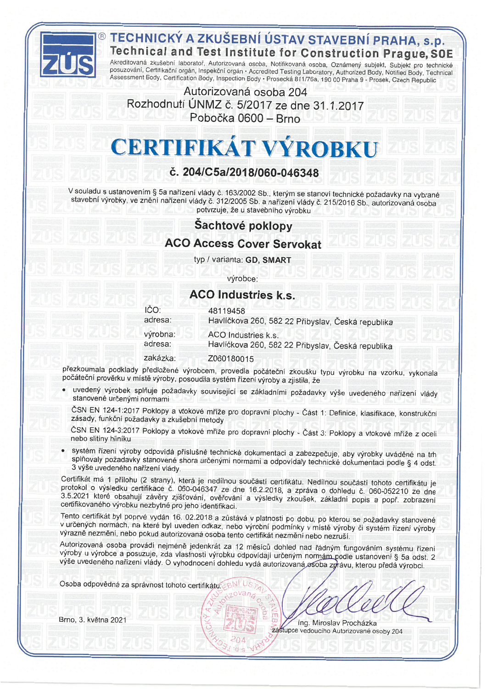

## TECHNICKÝ A ZKUŠEBNÍ ÚSTAV STAVEBNÍ PRAHA, s.p. Technical and Test Institute for Construction Prague, SOE

Akreditovaná zkušební laboratoř, Autorizovaná osoba, Notifikovaná osoba, Oznámený subjekt, Subjekt pro technické posuzování, Certifikační orgán, Inspekční orgán • Accredited Testing Laboratory, Authorized Body, Notified Body, Technical<br>Assessment Body, Certification Body, Inspection Body • Prosecká 811/76a, 190 00 Praha 9 - Prosek, C

Autorizovaná osoba 204 Rozhodnutí ÚNMZ č. 5/2017 ze dne 31.1.2017 Pobočka 0600 - Brno

# **CERTIFIKÁT VÝROBKU**

## č. 204/C5a/2018/060-046348

V souladu s ustanovením § 5a nařízení vlády č. 163/2002 Sb., kterým se stanoví technické požadavky na vybrané stavební výrobky, ve znění nařízení vlády č. 312/2005 Sb. a nařízení vlády č. 215/2016 Sb., autorizovaná osoba potvrzuje, že u stavebního výrobku

## Sachtové poklopy

### **ACO Access Cover Servokat**

typ / varianta: GD, SMART

výrobce:

#### **ACO Industries k.s.**

| IČO:     | 48119458                                          |
|----------|---------------------------------------------------|
| adresa:  | Havlíčkova 260, 582 22 Přibyslav, Česká republika |
| výrobna: | ACO Industries k.s.                               |
| adresa:  | Havlíčkova 260, 582 22 Přibyslav, Česká republika |
| zakázka: | Z060180015                                        |

přezkoumala podklady předložené výrobcem, provedla počáteční zkoušku typu výrobku na vzorku, vykonala počáteční prověrku v místě výroby, posoudila systém řízení výroby a zjistila, že

- · uvedený výrobek splňuje požadavky související se základními požadavky výše uvedeného nařízení vlády stanovené určenými normami
	- ČSN EN 124-1:2017 Poklopy a vtokové mříže pro dopravní plochy Část 1: Definice, klasifikace, konstrukční zásady, funkční požadavky a zkušební metody

ČSN EN 124-3:2017 Poklopy a vtokové mříže pro dopravní plochy - Část 3: Poklopy a vtokové mříže z oceli nebo slitiny hliníku

systém řízení výroby odpovídá příslušné technické dokumentaci a zabezpečuje, aby výrobky uváděné na trh splňovaly požadavky stanovené shora určenými normami a odpovídaly technické dokumentaci podle § 4 odst. 3 výše uvedeného nařízení vlády.

Certifikát má 1 přílohu (2 strany), která je nedílnou součástí certifikátu. Nedílnou součástí tohoto certifikátu je protokol o výsledku certifikace č. 060-046347 ze dne 16.2.2018, a zpráva o dohledu č. 060-052210 ze dne 3.5.2021 které obsahují závěry zjišťování, ověřování a výsledky zkoušek, základní popis a popř. zobrazení certifikovaného výrobku nezbytné pro jeho identifikaci.

Tento certifikát byl poprvé vydán 16. 02.2018 a zůstává v platnosti po dobu, po kterou se požadavky stanovené v určených normách, na které byl uveden odkaz, nebo výrobní podmínky v místě výroby či systém řízení výroby výrazně nezmění, nebo pokud autorizovaná osoba tento certifikát nezmění nebo nezruší.

Autorizovaná osoba provádí nejméně jedenkrát za 12 měsíců dohled nad řádným fungováním systému řízení výroby u výrobce a posuzuje, zda vlastnosti výrobku odpovídají určeným normám podle ustanovení § 5a odst. 2 výše uvedeného nařízení vlády. O vyhodnocení dohledu vydá autorizovaná osoba zprávu, kterou předá výrobci.

Osoba odpovědná za správnost tohoto certifikátu:

Brno, 3. května 2021

Ing. Miroslav Procházka zástupce vedoucího Autorizované osoby 204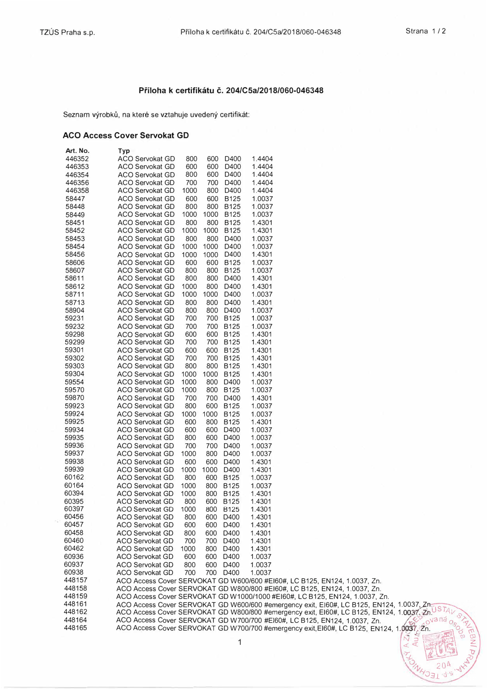#### **Priloha k certifikatu c. 204/CSa/2018/060-046348**

Seznam výrobků, na které se vztahuje uvedený certifikát:

#### **ACO Access Cover Servokat GD**

| Art. No. | Тур                                                                                              |
|----------|--------------------------------------------------------------------------------------------------|
| 446352   | 1.4404<br>ACO Servokat GD<br>800<br>600<br>D400                                                  |
| 446353   | <b>ACO Servokat GD</b><br>600<br>600<br>D400<br>1.4404                                           |
| 446354   | 800<br>600<br>D400<br>1.4404<br><b>ACO Servokat GD</b>                                           |
| 446356   | 700<br>700<br>D400<br>1.4404<br><b>ACO Servokat GD</b>                                           |
| 446358   | 1.4404<br><b>ACO Servokat GD</b><br>1000<br>800<br>D400                                          |
| 58447    | <b>ACO Servokat GD</b><br>600<br>600<br><b>B125</b><br>1.0037                                    |
| 58448    | 800<br>800<br>B125<br>1.0037<br><b>ACO Servokat GD</b>                                           |
|          |                                                                                                  |
| 58449    | <b>ACO Servokat GD</b><br>1000<br>1000<br><b>B125</b><br>1.0037                                  |
| 58451    | 800<br>800<br>1.4301<br><b>ACO Servokat GD</b><br><b>B125</b>                                    |
| 58452    | <b>B125</b><br><b>ACO Servokat GD</b><br>1000<br>1000<br>1.4301                                  |
| 58453    | 800<br>800<br>D400<br>ACO Servokat GD<br>1.0037                                                  |
| 58454    | 1000<br>1000<br>D400<br>1.0037<br>ACO Servokat GD                                                |
| 58456    | 1000<br>1000<br>D400<br>1.4301<br><b>ACO Servokat GD</b>                                         |
| 58606    | 600<br>600<br><b>B125</b><br>1.0037<br><b>ACO Servokat GD</b>                                    |
| 58607    | <b>ACO Servokat GD</b><br>800<br>800<br><b>B125</b><br>1.0037                                    |
|          | <b>ACO Servokat GD</b><br>800<br>800<br>D400                                                     |
| 58611    | 1.4301                                                                                           |
| 58612    | 1000<br>800<br>D400<br>1.4301<br>ACO Servokat GD                                                 |
| 58711    | <b>ACO Servokat GD</b><br>1000<br>1000<br>D400<br>1.0037                                         |
| 58713    | 800<br>800<br>D400<br>1.4301<br>ACO Servokat GD                                                  |
| 58904    | <b>ACO Servokat GD</b><br>800<br>800<br>D400<br>1.0037                                           |
| 59231    | 700<br><b>B125</b><br>1.0037<br><b>ACO Servokat GD</b><br>700                                    |
| 59232    | ACO Servokat GD<br>700<br>700<br><b>B125</b><br>1.0037                                           |
| 59298    | <b>ACO Servokat GD</b><br>600<br>600<br><b>B125</b><br>1.4301                                    |
| 59299    | 700<br><b>B125</b><br>1.4301<br>ACO Servokat GD<br>700                                           |
| 59301    | 600<br>1.4301<br>600<br><b>B125</b>                                                              |
|          | ACO Servokat GD                                                                                  |
| 59302    | <b>ACO Servokat GD</b><br>700<br>700<br><b>B125</b><br>1.4301                                    |
| 59303    | 800<br>800<br><b>B125</b><br>1.4301<br><b>ACO Servokat GD</b>                                    |
| 59304    | 1000<br><b>B125</b><br>1.4301<br><b>ACO Servokat GD</b><br>1000                                  |
| 59554    | 800<br>D400<br>1.0037<br>ACO Servokat GD<br>1000                                                 |
| 59570    | 800<br>B125<br><b>ACO Servokat GD</b><br>1000<br>1.0037                                          |
| 59870    | 700<br>700<br>D400<br>1.4301<br><b>ACO Servokat GD</b>                                           |
| 59923    | <b>ACO Servokat GD</b><br>800<br>600<br><b>B125</b><br>1.0037                                    |
| 59924    | 1000<br>1.0037<br><b>ACO Servokat GD</b><br>1000<br><b>B125</b>                                  |
| 59925    | 800<br><b>B125</b><br>1.4301<br>ACO Servokat GD<br>600                                           |
| 59934    | 600<br>D400                                                                                      |
|          | 600<br>1.0037<br><b>ACO Servokat GD</b>                                                          |
| 59935    | D400<br>1.0037<br>ACO Servokat GD<br>800<br>600                                                  |
| 59936    | 700<br>D400<br>1.0037<br>ACO Servokat GD<br>700                                                  |
| 59937    | 1000<br>800<br>D400<br>1.0037<br>ACO Servokat GD                                                 |
| 59938    | 600<br>600<br>D400<br>1.4301<br>ACO Servokat GD                                                  |
| 59939    | 1000<br>D400<br>1.4301<br><b>ACO Servokat GD</b><br>1000                                         |
| 60162    | 800<br>600<br><b>B125</b><br>1.0037<br><b>ACO Servokat GD</b>                                    |
| 60164    | 800<br><b>B125</b><br>1.0037<br>ACO Servokat GD<br>1000                                          |
| 60394    | 1000<br>800<br>B125<br>1.4301<br><b>ACO Servokat GD</b>                                          |
| 60395    | 600<br><b>B125</b><br>1.4301<br>ACO Servokat GD<br>800                                           |
|          |                                                                                                  |
| 60397    | <b>ACO Servokat GD</b><br>1000<br>800<br>B125<br>1.4301                                          |
| 60456    | 600 D400<br><b>ACO Servokat GD</b><br>800<br>1.4301                                              |
| 60457    | 600 D400<br><b>ACO Servokat GD</b><br>600<br>1.4301                                              |
| 60458    | 600<br>D400<br>1.4301<br><b>ACO Servokat GD</b><br>800                                           |
| 60460    | D400<br>ACO Servokat GD<br>700<br>700<br>1.4301                                                  |
| 60462    | 1.4301<br>ACO Servokat GD<br>1000<br>800<br>D400                                                 |
| 60936    | D400<br>1.0037<br>ACO Servokat GD<br>600<br>600                                                  |
| 60937    | <b>ACO Servokat GD</b><br>600<br>D400<br>1.0037<br>800                                           |
| 60938    | 700 D400<br>ACO Servokat GD<br>700<br>1.0037                                                     |
| 448157   |                                                                                                  |
| 448158   | ACO Access Cover SERVOKAT GD W600/600 #EI60#, LC B125, EN124, 1.0037, Zn.                        |
|          | ACO Access Cover SERVOKAT GD W800/800 #E160#, LC B125, EN124, 1.0037, Zn.                        |
| 448159   | ACO Access Cover SERVOKAT GD W1000/1000 #E160#, LC B125, EN124, 1.0037, Zn.                      |
| 448161   | ACO Access Cover SERVOKAT GD W600/600 #emergency exit, EI60#, LC B125, EN124, 1.0037, Zn.        |
| 448162   | ACO Access Cover SERVOKAT GD W800/800 #emergency exit, EI60#, LC B125, EN124, 1.0037, Zn.        |
| 448164   | valla <sub>Os</sub><br>ACO Access Cover SERVOKAT GD W700/700 #E160#, LC B125, EN124, 1.0037, Zn. |
| 448165   | ACO Access Cover SERVOKAT GD W700/700 #emergency exit, EI60#, LC B125, EN124, 1.0037, 2n.        |
|          |                                                                                                  |